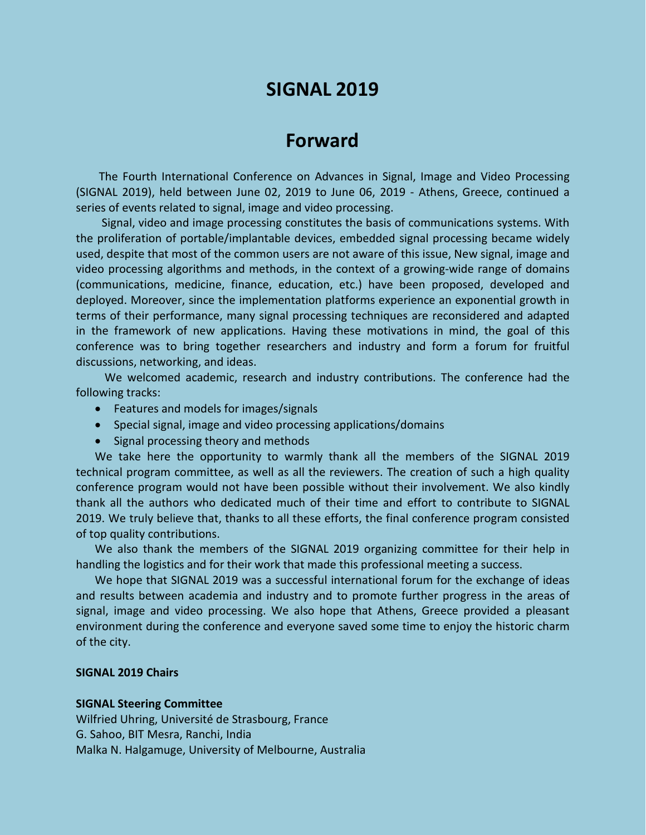# **SIGNAL 2019**

# **Forward**

The Fourth International Conference on Advances in Signal, Image and Video Processing (SIGNAL 2019), held between June 02, 2019 to June 06, 2019 - Athens, Greece, continued a series of events related to signal, image and video processing.

Signal, video and image processing constitutes the basis of communications systems. With the proliferation of portable/implantable devices, embedded signal processing became widely used, despite that most of the common users are not aware of this issue, New signal, image and video processing algorithms and methods, in the context of a growing-wide range of domains (communications, medicine, finance, education, etc.) have been proposed, developed and deployed. Moreover, since the implementation platforms experience an exponential growth in terms of their performance, many signal processing techniques are reconsidered and adapted in the framework of new applications. Having these motivations in mind, the goal of this conference was to bring together researchers and industry and form a forum for fruitful discussions, networking, and ideas.

We welcomed academic, research and industry contributions. The conference had the following tracks:

- Features and models for images/signals
- Special signal, image and video processing applications/domains
- Signal processing theory and methods

We take here the opportunity to warmly thank all the members of the SIGNAL 2019 technical program committee, as well as all the reviewers. The creation of such a high quality conference program would not have been possible without their involvement. We also kindly thank all the authors who dedicated much of their time and effort to contribute to SIGNAL 2019. We truly believe that, thanks to all these efforts, the final conference program consisted of top quality contributions.

We also thank the members of the SIGNAL 2019 organizing committee for their help in handling the logistics and for their work that made this professional meeting a success.

We hope that SIGNAL 2019 was a successful international forum for the exchange of ideas and results between academia and industry and to promote further progress in the areas of signal, image and video processing. We also hope that Athens, Greece provided a pleasant environment during the conference and everyone saved some time to enjoy the historic charm of the city.

### **SIGNAL 2019 Chairs**

#### **SIGNAL Steering Committee**

Wilfried Uhring, Université de Strasbourg, France G. Sahoo, BIT Mesra, Ranchi, India Malka N. Halgamuge, University of Melbourne, Australia